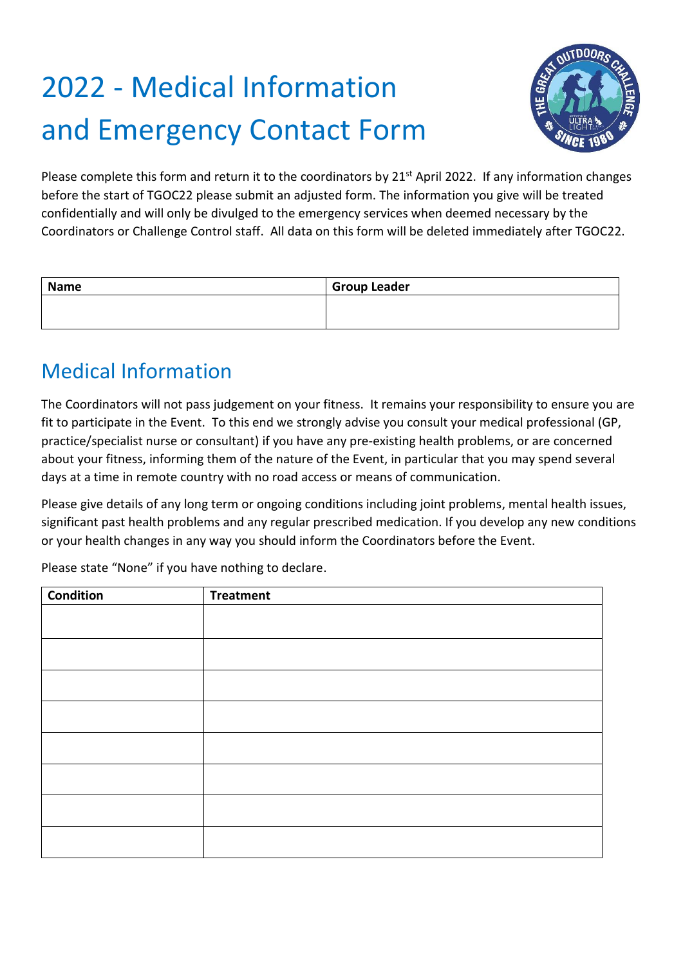# 2022 - Medical Information and Emergency Contact Form



Please complete this form and return it to the coordinators by 21<sup>st</sup> April 2022. If any information changes before the start of TGOC22 please submit an adjusted form. The information you give will be treated confidentially and will only be divulged to the emergency services when deemed necessary by the Coordinators or Challenge Control staff. All data on this form will be deleted immediately after TGOC22.

| <b>Name</b> | <b>Group Leader</b> |
|-------------|---------------------|
|             |                     |
|             |                     |

### Medical Information

The Coordinators will not pass judgement on your fitness. It remains your responsibility to ensure you are fit to participate in the Event. To this end we strongly advise you consult your medical professional (GP, practice/specialist nurse or consultant) if you have any pre-existing health problems, or are concerned about your fitness, informing them of the nature of the Event, in particular that you may spend several days at a time in remote country with no road access or means of communication.

Please give details of any long term or ongoing conditions including joint problems, mental health issues, significant past health problems and any regular prescribed medication. If you develop any new conditions or your health changes in any way you should inform the Coordinators before the Event.

Please state "None" if you have nothing to declare.

| <b>Condition</b> | <b>Treatment</b> |
|------------------|------------------|
|                  |                  |
|                  |                  |
|                  |                  |
|                  |                  |
|                  |                  |
|                  |                  |
|                  |                  |
|                  |                  |
|                  |                  |
|                  |                  |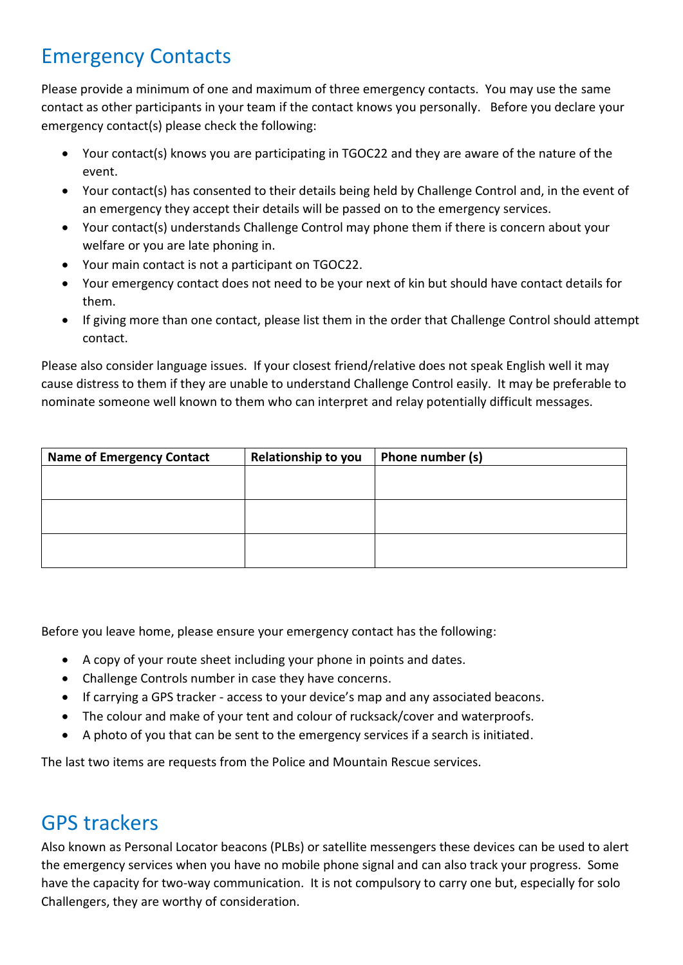## Emergency Contacts

Please provide a minimum of one and maximum of three emergency contacts. You may use the same contact as other participants in your team if the contact knows you personally. Before you declare your emergency contact(s) please check the following:

- Your contact(s) knows you are participating in TGOC22 and they are aware of the nature of the event.
- Your contact(s) has consented to their details being held by Challenge Control and, in the event of an emergency they accept their details will be passed on to the emergency services.
- Your contact(s) understands Challenge Control may phone them if there is concern about your welfare or you are late phoning in.
- Your main contact is not a participant on TGOC22.
- Your emergency contact does not need to be your next of kin but should have contact details for them.
- If giving more than one contact, please list them in the order that Challenge Control should attempt contact.

Please also consider language issues. If your closest friend/relative does not speak English well it may cause distress to them if they are unable to understand Challenge Control easily. It may be preferable to nominate someone well known to them who can interpret and relay potentially difficult messages.

| <b>Name of Emergency Contact</b> | <b>Relationship to you</b> | Phone number (s) |
|----------------------------------|----------------------------|------------------|
|                                  |                            |                  |
|                                  |                            |                  |
|                                  |                            |                  |
|                                  |                            |                  |
|                                  |                            |                  |
|                                  |                            |                  |

Before you leave home, please ensure your emergency contact has the following:

- A copy of your route sheet including your phone in points and dates.
- Challenge Controls number in case they have concerns.
- If carrying a GPS tracker access to your device's map and any associated beacons.
- The colour and make of your tent and colour of rucksack/cover and waterproofs.
- A photo of you that can be sent to the emergency services if a search is initiated.

The last two items are requests from the Police and Mountain Rescue services.

### GPS trackers

Also known as Personal Locator beacons (PLBs) or satellite messengers these devices can be used to alert the emergency services when you have no mobile phone signal and can also track your progress. Some have the capacity for two-way communication. It is not compulsory to carry one but, especially for solo Challengers, they are worthy of consideration.